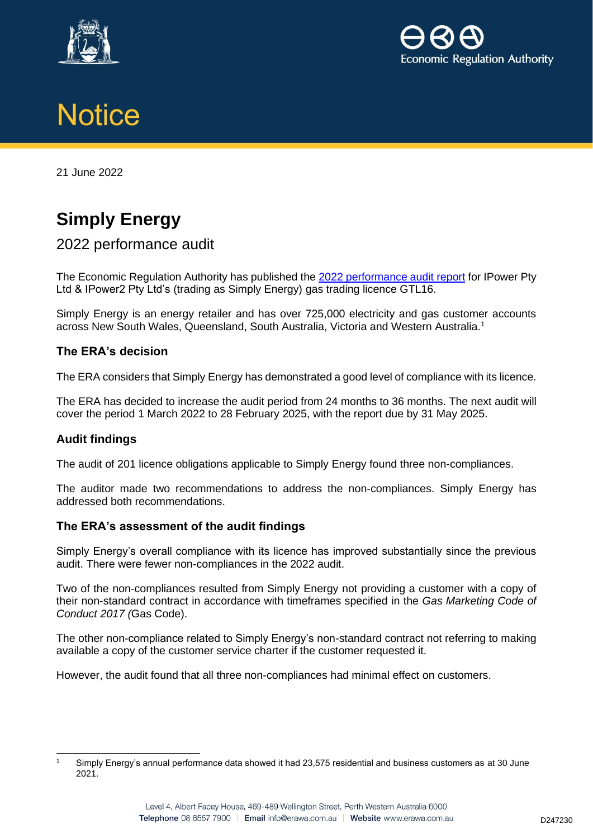





21 June 2022

# **Simply Energy**

# 2022 performance audit

The Economic Regulation Authority has published the 2022 [performance audit](http://www.erawa.com.au/cproot/22735/2/2022-Performance-audit-report.PDF) report for IPower Pty Ltd & IPower2 Pty Ltd's (trading as Simply Energy) gas trading licence GTL16.

Simply Energy is an energy retailer and has over 725,000 electricity and gas customer accounts across New South Wales, Queensland, South Australia, Victoria and Western Australia.<sup>1</sup>

## **The ERA's decision**

The ERA considers that Simply Energy has demonstrated a good level of compliance with its licence.

The ERA has decided to increase the audit period from 24 months to 36 months. The next audit will cover the period 1 March 2022 to 28 February 2025, with the report due by 31 May 2025.

#### **Audit findings**

The audit of 201 licence obligations applicable to Simply Energy found three non-compliances.

The auditor made two recommendations to address the non-compliances. Simply Energy has addressed both recommendations.

#### **The ERA's assessment of the audit findings**

Simply Energy's overall compliance with its licence has improved substantially since the previous audit. There were fewer non-compliances in the 2022 audit.

Two of the non-compliances resulted from Simply Energy not providing a customer with a copy of their non-standard contract in accordance with timeframes specified in the *Gas Marketing Code of Conduct 2017 (*Gas Code).

The other non-compliance related to Simply Energy's non-standard contract not referring to making available a copy of the customer service charter if the customer requested it.

However, the audit found that all three non-compliances had minimal effect on customers.

<sup>1</sup> Simply Energy's annual performance data showed it had 23,575 residential and business customers as at 30 June 2021.